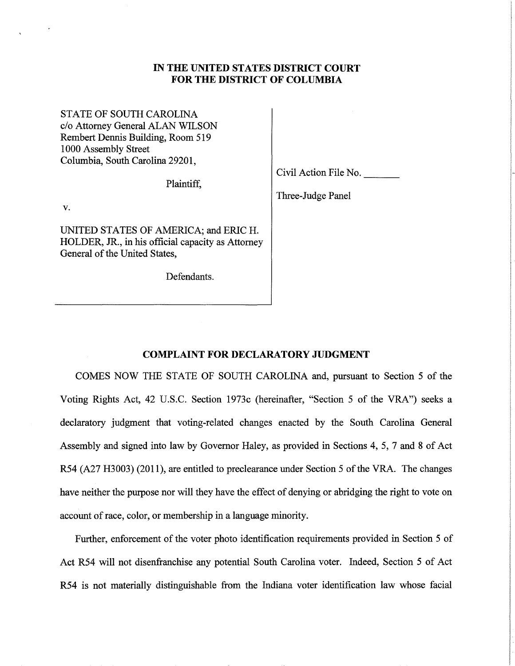## **IN THE UNITED STATES DISTRICT COURT FOR THE DISTRICT OF COLUMBIA**

STATE OF SOUTH CAROLINA c/o Attorney General ALAN WILSON Rembert Dennis Building, Room 519 1000 Assembly Street Columbia, South Carolina 29201,

Plaintiff,

Civil Action File No. ---

Three-Judge Panel

v.

UNITED STATES OF AMERICA; and ERIC H. HOLDER, JR., in his official capacity as Attorney General of the United States,

Defendants.

## **COMPLAINT FOR DECLARATORY JUDGMENT**

COMES NOW THE STATE OF SOUTH CAROLINA and, pursuant to Section 5 of the Voting Rights Act, 42 U.S.C. Section 1973c (hereinafter, "Section 5 of the VRA") seeks a declaratory judgment that voting-related changes enacted by the South Carolina General Assembly and signed into law by Governor Haley, as provided in Sections 4, 5, 7 and 8 of Act R54 (A27 H3003) (2011), are entitled to preclearance under Section 5 of the VRA. The changes have neither the purpose nor will they have the effect of denying or abridging the right to vote on account of race, color, or membership in a language minority.

Further, enforcement of the voter photo identification requirements provided in Section 5 of Act R54 will not disenfranchise any potential South Carolina voter. Indeed, Section 5 of Act R54 is not materially distinguishable from the Indiana voter identification law whose facial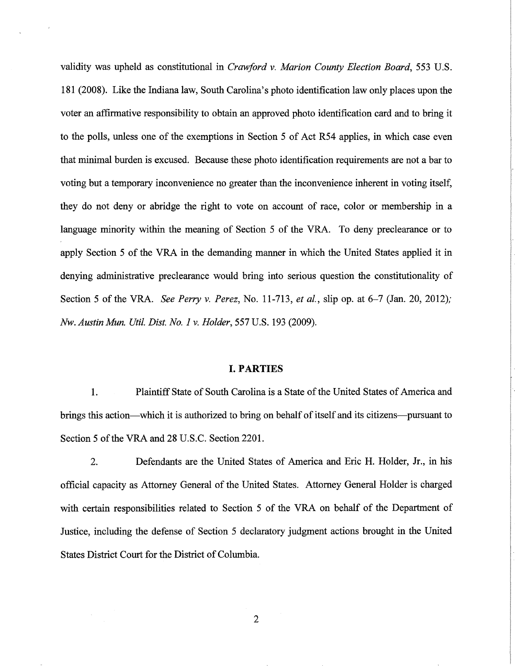validity was upheld as constitutional in *Crawford v. Marion County Election Board,* 553 U.S. 181 (2008). Like the Indiana law, South Carolina's photo identification law only places upon the voter an affirmative responsibility to obtain an approved photo identification card and to bring it to the polls, unless one of the exemptions in Section 5 of Act R54 applies, in which case even that minimal burden is excused. Because these photo identification requirements are not a bar to voting but a temporary inconvenience no greater than the inconvenience inherent in voting itself, they do not deny or abridge the right to vote on account of race, color or membership in a language minority within the meaning of Section 5 of the VRA. To deny preclearance or to apply Section 5 of the VRA in the demanding manner in which the United States applied it in denying administrative preclearance would bring into serious question the constitutionality of Section 5 of the VRA. *See Perry v. Perez,* No. 11-713, *et al.,* slip op. at 6-7 (Jan. 20, 2012); *Nw. Austin Mun. Util. Dist. No. 1 v. Holder,* 557 U.S. 193 (2009).

#### **I. PARTIES**

1. Plaintiff State of South Carolina is a State of the United States of America and brings this action-which it is authorized to bring on behalf of itself and its citizens-pursuant to Section 5 of the VRA and 28 U.S.C. Section 2201.

2. Defendants are the United States of America and Eric H. Holder, Jr., in his official capacity as Attorney General of the United States. Attorney General Holder is charged with certain responsibilities related to Section 5 of the VRA on behalf of the Department of Justice, including the defense of Section 5 declaratory judgment actions brought in the United States District Court for the District of Columbia.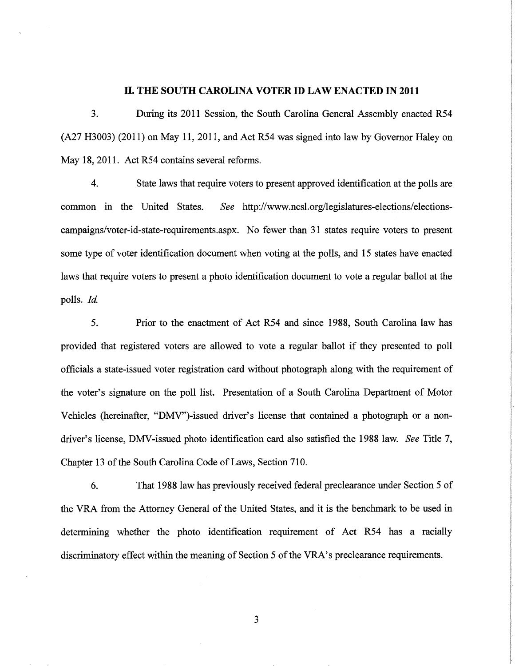#### **II. THE SOUTH CAROLINA VOTER ID LAW ENACTED IN 2011**

3. During its 2011 Session, the South Carolina General Assembly enacted R54 (A27 H3003) (2011) on May 11, 2011, and Act R54 was signed into law by Governor Haley on May 18, 2011. Act R54 contains several reforms.

4. State laws that require voters to present approved identification at the polls are common m the United States. *See* http://www.ncsl.org/legislatures-elections/electionscampaigns/voter-id-state-requirements.aspx. No fewer than 31 states require voters to present some type of voter identification document when voting at the polls, and 15 states have enacted laws that require voters to present a photo identification document to vote a regular ballot at the polls. *Id.* 

5. Prior to the enactment of Act R54 and since 1988, South Carolina law has provided that registered voters are allowed to vote a regular ballot if they presented to poll officials a state-issued voter registration card without photograph along with the requirement of the voter's signature on the poll list. Presentation of a South Carolina Department of Motor Vehicles (hereinafter, "DMV")-issued driver's license that contained a photograph or a nondriver's license, DMV-issued photo identification card also satisfied the 1988 law. *See* Title 7, Chapter 13 of the South Carolina Code of Laws, Section 710.

6. That 1988 law has previously received federal preclearance under Section 5 of the VRA from the Attorney General of the United States, and it is the benchmark to be used in determining whether the photo identification requirement of Act R54 has a racially discriminatory effect within the meaning of Section 5 of the VRA's preclearance requirements.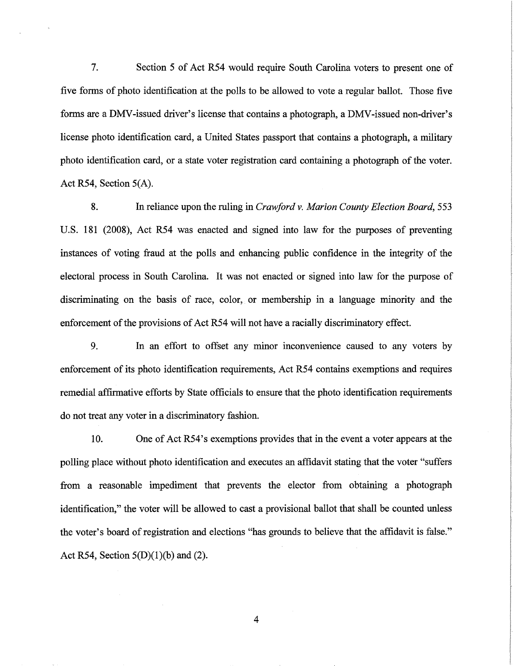7. Section 5 of Act R54 would require South Carolina voters to present one of five forms of photo identification at the polls to be allowed to vote a regular ballot. Those five forms are a DMV-issued driver's license that contains a photograph, a DMV-issued non-driver's license photo identification card, a United States passport that contains a photograph, a military photo identification card, or a state voter registration card containing a photograph of the voter. Act R54, Section 5(A).

8. In reliance upon the ruling in *Crawford v. Marion County Election Board,* 553 U.S. 181 (2008), Act R54 was enacted and signed into law for the purposes of preventing instances of voting fraud at the polls and enhancing public confidence in the integrity of the electoral process in South Carolina. It was not enacted or signed into law for the purpose of discriminating on the basis of race, color, or membership in a language minority and the enforcement of the provisions of Act R54 will not have a racially discriminatory effect.

9. In an effort to offset any minor inconvenience caused to any voters by enforcement of its photo identification requirements, Act R54 contains exemptions and requires remedial affirmative efforts by State officials to ensure that the photo identification requirements do not treat any voter in a discriminatory fashion.

10. One of Act R54's exemptions provides that in the event a voter appears at the polling place without photo identification and executes an affidavit stating that the voter "suffers from a reasonable impediment that prevents the elector from obtaining a photograph identification," the voter will be allowed to cast a provisional ballot that shall be counted unless the voter's board of registration and elections "has grounds to believe that the affidavit is false." Act R54, Section  $5(D)(1)(b)$  and (2).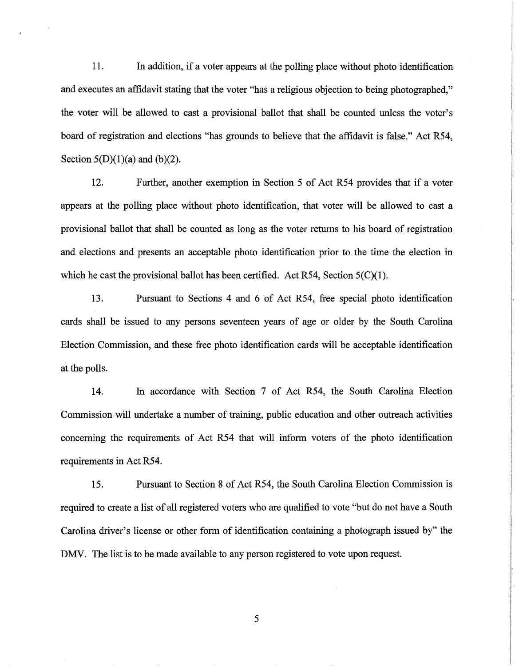11. In addition, if a voter appears at the polling place without photo identification and executes an affidavit stating that the voter "has a religious objection to being photographed," the voter will be allowed to cast a provisional ballot that shall be counted unless the voter's board of registration and elections "has grounds to believe that the affidavit is false." Act R54, Section  $5(D)(1)(a)$  and  $(b)(2)$ .

12. Further, another exemption in Section 5 of Act R54 provides that if a voter appears at the polling place without photo identification, that voter will be allowed to cast a provisional ballot that shall be counted as long as the voter returns to his board of registration and elections and presents an acceptable photo identification prior to the time the election in which he cast the provisional ballot has been certified. Act  $R54$ , Section  $5(C)(1)$ .

13. Pursuant to Sections 4 and 6 of Act R54, free special photo identification cards shall be issued to any persons seventeen years of age or older by the South Carolina Election Commission, and these free photo identification cards will be acceptable identification at the polls.

14. In accordance with Section 7 of Act R54, the South Carolina Election Commission will undertake a number of training, public education and other outreach activities concerning the requirements of Act R54 that will inform voters of the photo identification requirements in Act R54.

15. Pursuant to Section 8 of Act R54, the South Carolina Election Commission is required to create a list of all registered voters who are qualified to vote "but do not have a South Carolina driver's license or other form of identification containing a photograph issued by" the DMV. The list is to be made available to any person registered to vote upon request.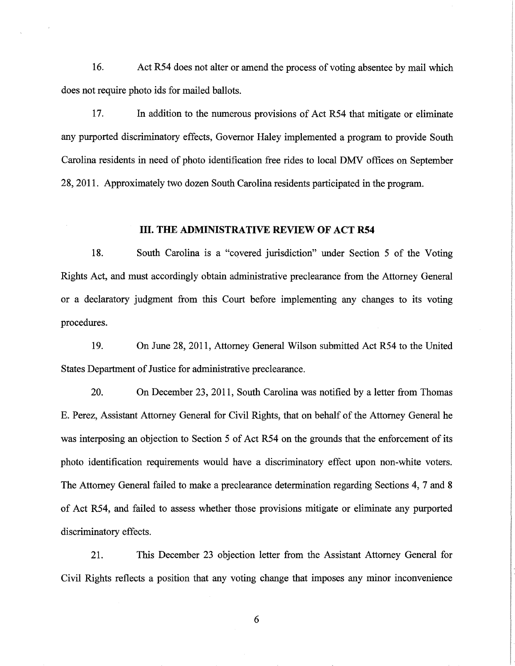16. Act R54 does not alter or amend the process of voting absentee by mail which does not require photo ids for mailed ballots.

17. In addition to the numerous provisions of Act R54 that mitigate or eliminate any purported discriminatory effects, Governor Haley implemented a program to provide South Carolina residents in need of photo identification free rides to local DMV offices on September 28, 2011. Approximately two dozen South Carolina residents participated in the program.

#### **III. THE ADMINISTRATIVE REVIEW OF ACT R54**

18. South Carolina is a "covered jurisdiction" under Section 5 of the Voting Rights Act, and must accordingly obtain administrative preclearance from the Attorney General or a declaratory judgment from this Court before implementing any changes to its voting procedures.

19. On June 28, 2011, Attorney General Wilson submitted Act R54 to the United States Department of Justice for administrative preclearance.

20. On December 23, 2011, South Carolina was notified by a letter from Thomas E. Perez, Assistant Attorney General for Civil Rights, that on behalf of the Attorney General he was interposing an objection to Section 5 of Act R54 on the grounds that the enforcement of its photo identification requirements would have a discriminatory effect upon non-white voters. The Attorney General failed to make a preclearance determination regarding Sections 4, 7 and 8 of Act R54, and failed to assess whether those provisions mitigate or eliminate any purported discriminatory effects.

21. This December 23 objection letter from the Assistant Attorney General for Civil Rights reflects a position that any voting change that imposes any minor inconvenience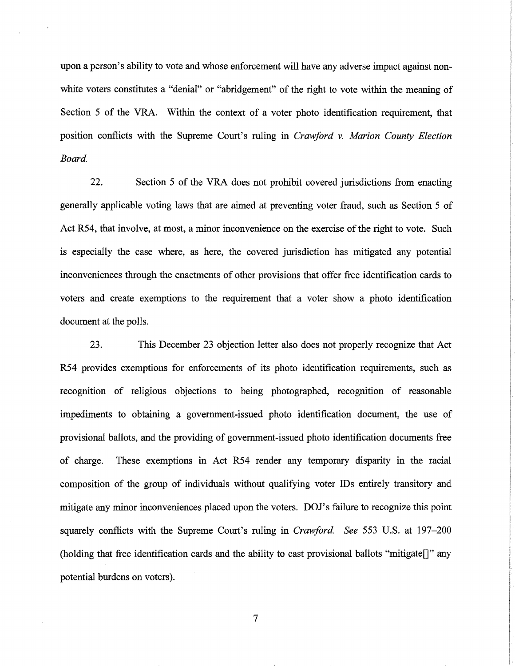upon a person's ability to vote and whose enforcement will have any adverse impact against nonwhite voters constitutes a "denial" or "abridgement" of the right to vote within the meaning of Section 5 of the VRA. Within the context of a voter photo identification requirement, that position conflicts with the Supreme Court's ruling in *Crawford v. Marion County Election*  Board.

22. Section 5 of the VRA does not prohibit covered jurisdictions from enacting generally applicable voting laws that are aimed at preventing voter fraud, such as Section 5 of Act R54, that involve, at most, a minor inconvenience on the exercise of the right to vote. Such is especially the case where, as here, the covered jurisdiction has mitigated any potential inconveniences through the enactments of other provisions that offer free identification cards to voters and create exemptions to the requirement that a voter show a photo identification document at the polls.

23. This December 23 objection letter also does not properly recognize that Act R54 provides exemptions for enforcements of its photo identification requirements, such as recognition of religious objections to being photographed, recognition of reasonable impediments to obtaining a government-issued photo identification document, the use of provisional ballots, and the providing of government-issued photo identification documents free of charge. These exemptions in Act R54 render any temporary disparity in the racial composition of the group of individuals without qualifying voter IDs entirely transitory and mitigate any minor inconveniences placed upon the voters. DOJ's failure to recognize this point squarely conflicts with the Supreme Court's ruling in *Crawford See* 553 U.S. at 197-200 (holding that free identification cards and the ability to cast provisional ballots "mitigate[]" any potential burdens on voters).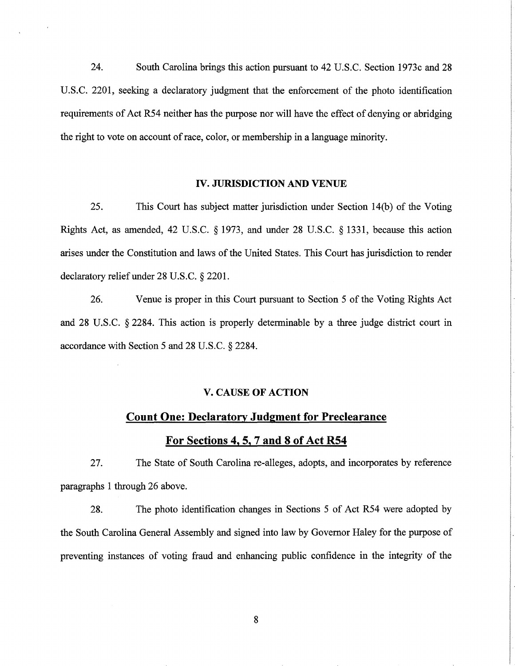24. South Carolina brings this action pursuant to 42 U.S.C. Section 1973c and 28 U.S.C. 2201, seeking a declaratory judgment that the enforcement of the photo identification requirements of Act R54 neither has the purpose nor will have the effect of denying or abridging the right to vote on account of race, color, or membership in a language minority.

#### IV. **JURISDICTION AND** VENUE

25. This Court has subject matter jurisdiction under Section 14(b) of the Voting Rights Act, as amended, 42 U.S.C. § 1973, and under 28 U.S.C. § 1331, because this action arises under the Constitution and laws of the United States. This Court has jurisdiction to render declaratory relief under 28 U.S.C. § 2201.

26. Venue is proper in this Court pursuant to Section 5 of the Voting Rights Act and 28 U.S.C. § 2284. This action is properly determinable by a three judge district court in accordance with Section 5 and 28 U.S.C. § 2284.

### V. CAUSE **OF ACTION**

# **Count One: Declaratory Judgment for Preclearance**

## **For Sections 4, 5, 7 and 8 of Act R54**

27. The State of South Carolina re-alleges, adopts, and incorporates by reference paragraphs 1 through 26 above.

28. The photo identification changes in Sections 5 of Act R54 were adopted by the South Carolina General Assembly and signed into law by Governor Haley for the purpose of preventing instances of voting fraud and enhancing public confidence in the integrity of the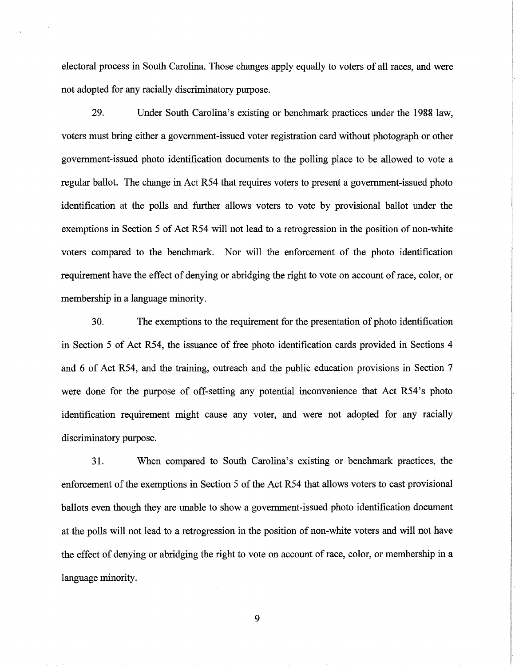electoral process in South Carolina. Those changes apply equally to voters of all races, and were not adopted for any racially discriminatory purpose.

29. Under South Carolina's existing or benchmark practices under the 1988 law, voters must bring either a government-issued voter registration card without photograph or other government-issued photo identification documents to the polling place to be allowed to vote a regular ballot. The change in Act R54 that requires voters to present a government-issued photo identification at the polls and further allows voters to vote by provisional ballot under the exemptions in Section 5 of Act R54 will not lead to a retrogression in the position of non-white voters compared to the benchmark. Nor will the enforcement of the photo identification requirement have the effect of denying or abridging the right to vote on account of race, color, or membership in a language minority.

30. The exemptions to the requirement for the presentation of photo identification in Section 5 of Act R54, the issuance of free photo identification cards provided in Sections 4 and 6 of Act R54, and the training, outreach and the public education provisions in Section 7 were done for the purpose of off-setting any potential inconvenience that Act R54's photo identification requirement might cause any voter, and were not adopted for any racially discriminatory purpose.

31. When compared to South Carolina's existing or benchmark practices, the enforcement of the exemptions in Section 5 of the Act R54 that allows voters to cast provisional ballots even though they are unable to show a government-issued photo identification document at the polls will not lead to a retrogression in the position of non-white voters and will not have the effect of denying or abridging the right to vote on account of race, color, or membership in a language minority.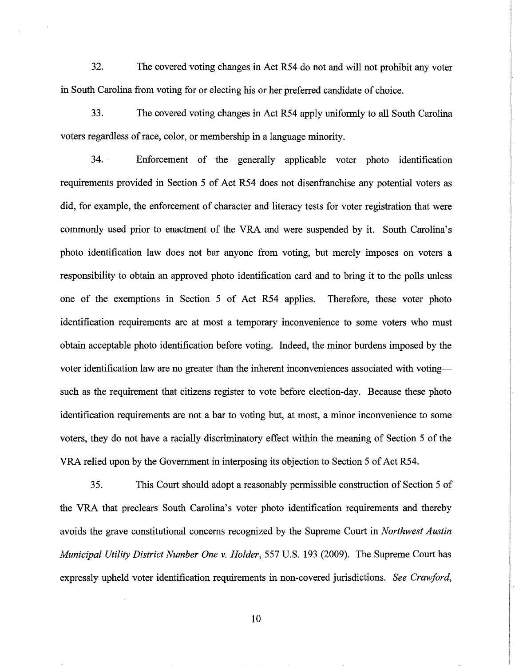32. The covered voting changes in Act R54 do not and will not prohibit any voter in South Carolina from voting for or electing his or her preferred candidate of choice.

33. The covered voting changes in Act R54 apply uniformly to all South Carolina voters regardless of race, color, or membership in a language minority.

34. Enforcement of the generally applicable voter photo identification requirements provided in Section 5 of Act R54 does not disenfranchise any potential voters as did, for example, the enforcement of character and literacy tests for voter registration that were commonly used prior to enactment of the VRA and were suspended by it. South Carolina's photo identification law does not bar anyone from voting, but merely imposes on voters a responsibility to obtain an approved photo identification card and to bring it to the polls unless one of the exemptions in Section 5 of Act R54 applies. Therefore, these voter photo identification requirements are at most a temporary inconvenience to some voters who must obtain acceptable photo identification before voting. Indeed, the minor burdens imposed by the voter identification law are no greater than the inherent inconveniences associated with votingsuch as the requirement that citizens register to vote before election-day. Because these photo identification requirements are not a bar to voting but, at most, a minor inconvenience to some voters, they do not have a racially discriminatory effect within the meaning of Section 5 of the VRA relied upon by the Government in interposing its objection to Section 5 of Act R54.

35. This Court should adopt a reasonably permissible construction of Section 5 of the VRA that preclears South Carolina's voter photo identification requirements and thereby avoids the grave constitutional concerns recognized by the Supreme Court in *Northwest Austin Municipal Utility District Number One v. Holder,* 557 U.S. 193 (2009). The Supreme Court has expressly upheld voter identification requirements in non-covered jurisdictions. *See Crawford,*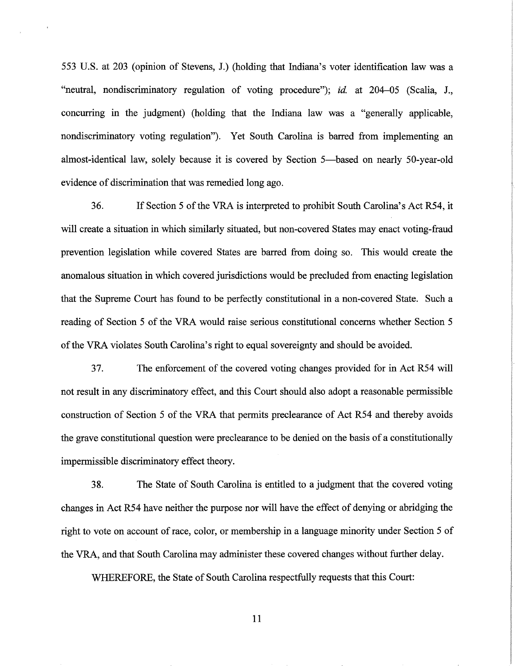553 U.S. at 203 (opinion of Stevens, J.) (holding that Indiana's voter identification law was a "neutral, nondiscriminatory regulation of voting procedure"); *id.* at 204-05 (Scalia, J., concurring in the judgment) (holding that the Indiana law was a "generally applicable, nondiscriminatory voting regulation"). Yet South Carolina is barred from implementing an almost-identical law, solely because it is covered by Section 5—based on nearly 50-year-old evidence of discrimination that was remedied long ago.

36. If Section 5 of the VRA is interpreted to prohibit South Carolina's Act R54, it will create a situation in which similarly situated, but non-covered States may enact voting-fraud prevention legislation while covered States are barred from doing so. This would create the anomalous situation in which covered jurisdictions would be precluded from enacting legislation that the Supreme Court has found to be perfectly constitutional in a non-covered State. Such a reading of Section 5 of the VRA would raise serious constitutional concerns whether Section 5 of the VRA violates South Carolina's right to equal sovereignty and should be avoided.

3 7. The enforcement of the covered voting changes provided for in Act R54 will not result in any discriminatory effect, and this Court should also adopt a reasonable permissible construction of Section 5 of the VRA that permits preclearance of Act R54 and thereby avoids the grave constitutional question were preclearance to be denied on the basis of a constitutionally impermissible discriminatory effect theory.

38. The State of South Carolina is entitled to a judgment that the covered voting changes in Act R54 have neither the purpose nor will have the effect of denying or abridging the right to vote on account of race, color, or membership in a language minority under Section 5 of the VRA, and that South Carolina may administer these covered changes without further delay.

WHEREFORE, the State of South Carolina respectfully requests that this Court: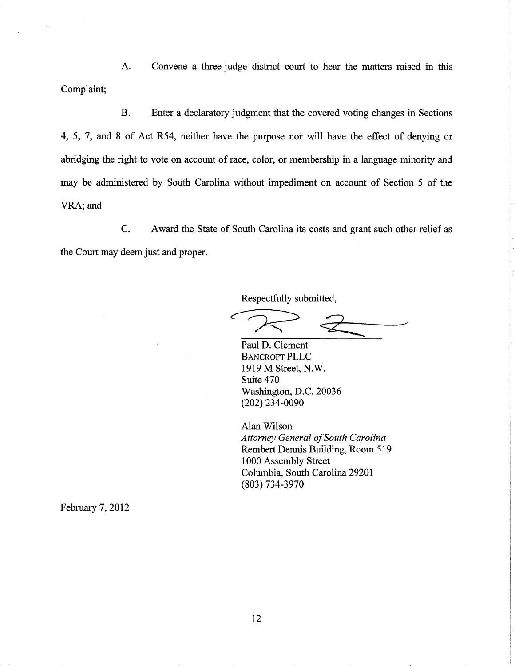A. Convene a three-judge district court to hear the matters raised in this Complaint;

B. Enter a declaratory judgment that the covered voting changes in Sections 4, 5, 7, and 8 of Act R54, neither have the purpose nor will have the effect of denying or abridging the right to vote on account of race, color, or membership in a language minority and may be administered by South Carolina without impediment on account of Section 5 of the VRA; and

C. Award the State of South Carolina its costs and grant such other relief as the Court may deem just and proper.

Respectfully submitted,

Paul D. Clement BANCROFT PLLC 1919 M Street, N.W. Suite 470 Washington, D.C. 20036 (202) 234-0090

Alan Wilson *Attorney General of South Carolina*  Rembert Dennis Building, Room 519 1000 Assembly Street Columbia, South Carolina 29201 (803) 734-3970

February 7, 2012

 $\ddot{\phantom{a}}$